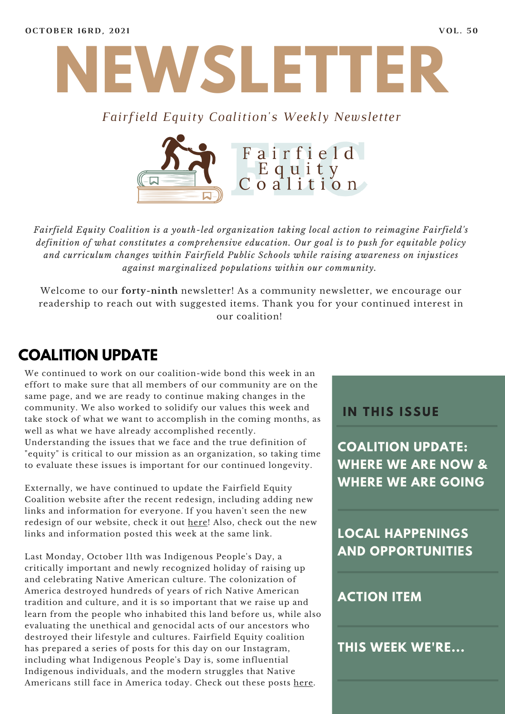

#### *Fairfield Equity Coalition's Weekly Newsletter*



*Fairfield Equity Coalition is a youth-led organization taking local action to reimagine Fairfield's definition of what constitutes a comprehensive education. Our goal is to push for equitable policy and curriculum changes within Fairfield Public Schools while raising awareness on injustices against marginalized populations within our community.*

Welcome to our **forty-ninth** newsletter! As a community newsletter, we encourage our readership to reach out with suggested items. Thank you for your continued interest in our coalition!

## **COALITION UPDATE**

We continued to work on our coalition-wide bond this week in an effort to make sure that all members of our community are on the same page, and we are ready to continue making changes in the community. We also worked to solidify our values this week and take stock of what we want to accomplish in the coming months, as well as what we have already accomplished recently.

Understanding the issues that we face and the true definition of "equity" is critical to our mission as an organization, so taking time to evaluate these issues is important for our continued longevity.

Externally, we have continued to update the Fairfield Equity Coalition website after the recent redesign, including adding new links and information for everyone. If you haven't seen the new redesign of our website, check it out [here](https://www.fairfieldequitycoalition.org/)! Also, check out the new links and information posted this week at the same link.

Last Monday, October 11th was Indigenous People's Day, a critically important and newly recognized holiday of raising up and celebrating Native American culture. The colonization of America destroyed hundreds of years of rich Native American tradition and culture, and it is so important that we raise up and learn from the people who inhabited this land before us, while also evaluating the unethical and genocidal acts of our ancestors who destroyed their lifestyle and cultures. Fairfield Equity coalition has prepared a series of posts for this day on our Instagram, including what Indigenous People's Day is, some influential Indigenous individuals, and the modern struggles that Native Americans still face in America today. Check out these posts [here.](https://www.instagram.com/fairfieldequitycoalition/)

#### **I N THIS ISSUE**

**COALITION UPDATE: WHERE WE ARE NOW & WHERE WE ARE GOING**

**LOCAL HAPPENINGS AND OPPORTUNITIES**

#### **ACTION ITEM**

**THIS WEEK WE'RE...**